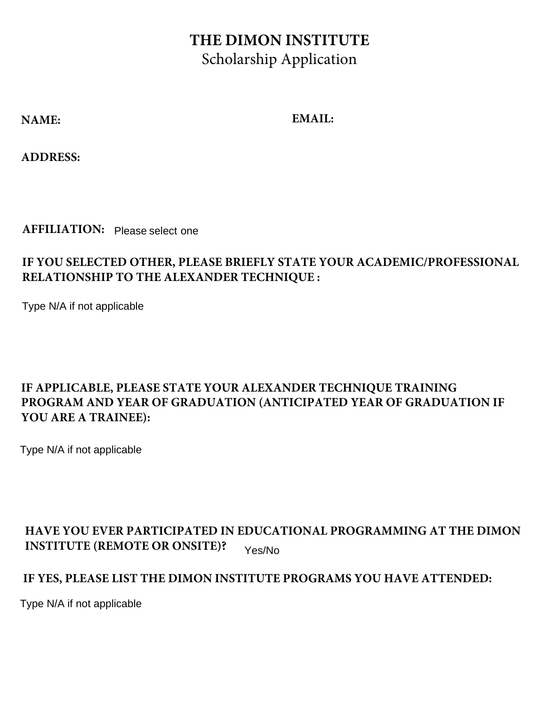## **THE DIMON INSTITUTE** Scholarship Application

**NAME: EMAIL:**

**ADDRESS:**

**AFFILIATION:** Please select one

### **IF YOU SELECTED OTHER, PLEASE BRIEFLY STATE YOUR ACADEMIC/PROFESSIONAL RELATIONSHIP TO THE ALEXANDER TECHNIQUE :**

Type N/A if not applicable

#### **IF APPLICABLE, PLEASE STATE YOUR ALEXANDER TECHNIQUE TRAINING PROGRAM AND YEAR OF GRADUATION (ANTICIPATED YEAR OF GRADUATION IF YOU ARE A TRAINEE):**

Type N/A if not applicable

#### **HAVE YOU EVER PARTICIPATED IN EDUCATIONAL PROGRAMMING AT THE DIMON INSTITUTE (REMOTE OR ONSITE)?** Yes/No

#### **IF YES, PLEASE LIST THE DIMON INSTITUTE PROGRAMS YOU HAVE ATTENDED:**

Type N/A if not applicable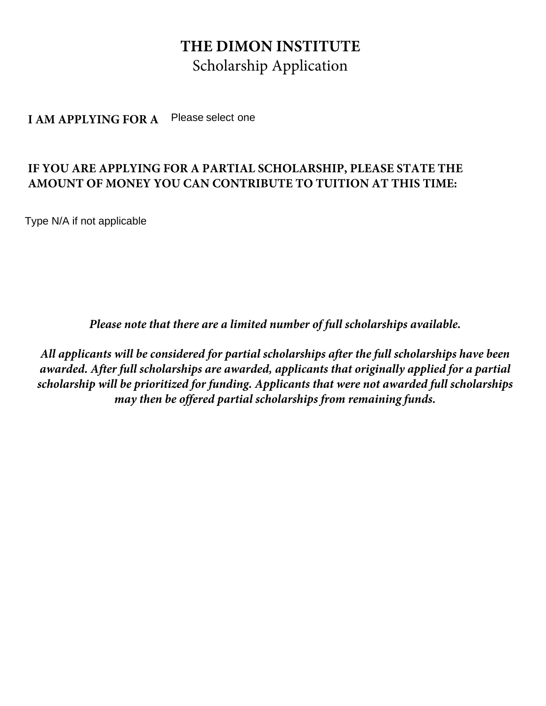### **THE DIMON INSTITUTE** Scholarship Application

**I AM APPLYING FOR A** Please select one

#### **IF YOU ARE APPLYING FOR A PARTIAL SCHOLARSHIP, PLEASE STATE THE AMOUNT OF MONEY YOU CAN CONTRIBUTE TO TUITION AT THIS TIME:**

Type N/A if not applicable

*Please note that there are a limited number of full scholarships available.* 

*All applicants will be considered for partial scholarships after the full scholarships have been awarded. After full scholarships are awarded, applicants that originally applied for a partial scholarship will be prioritized for funding. Applicants that were not awarded full scholarships may then be offered partial scholarships from remaining funds.*